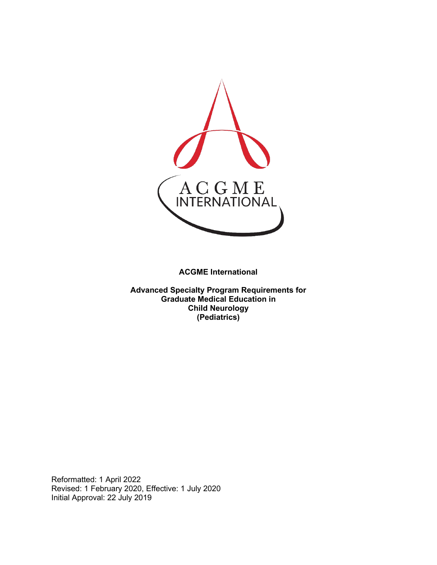

**ACGME International** 

**Advanced Specialty Program Requirements for Graduate Medical Education in Child Neurology (Pediatrics)**

Reformatted: 1 April 2022 Revised: 1 February 2020, Effective: 1 July 2020 Initial Approval: 22 July 2019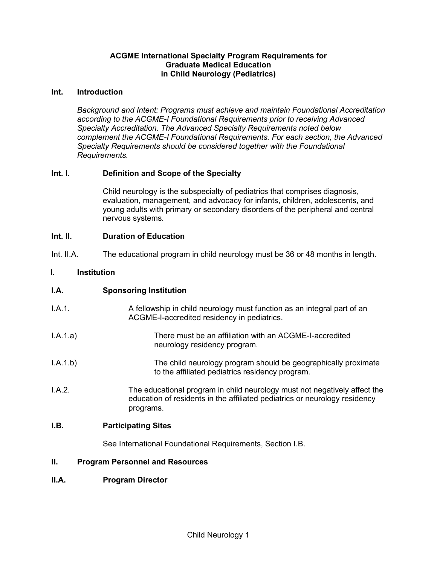## **ACGME International Specialty Program Requirements for Graduate Medical Education in Child Neurology (Pediatrics)**

#### **Int. Introduction**

*Background and Intent: Programs must achieve and maintain Foundational Accreditation according to the ACGME-I Foundational Requirements prior to receiving Advanced Specialty Accreditation. The Advanced Specialty Requirements noted below complement the ACGME-I Foundational Requirements. For each section, the Advanced Specialty Requirements should be considered together with the Foundational Requirements.*

## **Int. I. Definition and Scope of the Specialty**

Child neurology is the subspecialty of pediatrics that comprises diagnosis, evaluation, management, and advocacy for infants, children, adolescents, and young adults with primary or secondary disorders of the peripheral and central nervous systems.

## **Int. II. Duration of Education**

Int. II.A. The educational program in child neurology must be 36 or 48 months in length.

## **I. Institution**

## **I.A. Sponsoring Institution**

- I.A.1. A fellowship in child neurology must function as an integral part of an ACGME-I-accredited residency in pediatrics.
- I.A.1.a) There must be an affiliation with an ACGME-I-accredited neurology residency program.
- I.A.1.b) The child neurology program should be geographically proximate to the affiliated pediatrics residency program.
- I.A.2. The educational program in child neurology must not negatively affect the education of residents in the affiliated pediatrics or neurology residency programs.

## **I.B. Participating Sites**

See International Foundational Requirements, Section I.B.

#### **II. Program Personnel and Resources**

## **II.A. Program Director**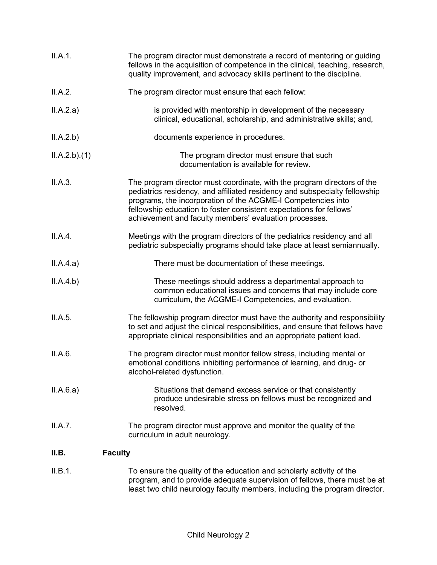| II.A.1.                 | The program director must demonstrate a record of mentoring or guiding<br>fellows in the acquisition of competence in the clinical, teaching, research,<br>quality improvement, and advocacy skills pertinent to the discipline.                                                                                                                       |
|-------------------------|--------------------------------------------------------------------------------------------------------------------------------------------------------------------------------------------------------------------------------------------------------------------------------------------------------------------------------------------------------|
| II.A.2.                 | The program director must ensure that each fellow:                                                                                                                                                                                                                                                                                                     |
| II.A.2.a)               | is provided with mentorship in development of the necessary<br>clinical, educational, scholarship, and administrative skills; and,                                                                                                                                                                                                                     |
| II.A.2.b)               | documents experience in procedures.                                                                                                                                                                                                                                                                                                                    |
| ILA.2.b)(1)             | The program director must ensure that such<br>documentation is available for review.                                                                                                                                                                                                                                                                   |
| II.A.3.                 | The program director must coordinate, with the program directors of the<br>pediatrics residency, and affiliated residency and subspecialty fellowship<br>programs, the incorporation of the ACGME-I Competencies into<br>fellowship education to foster consistent expectations for fellows'<br>achievement and faculty members' evaluation processes. |
| II.A.4.                 | Meetings with the program directors of the pediatrics residency and all<br>pediatric subspecialty programs should take place at least semiannually.                                                                                                                                                                                                    |
| II.A.4.a)               | There must be documentation of these meetings.                                                                                                                                                                                                                                                                                                         |
| II.A.4.b)               | These meetings should address a departmental approach to<br>common educational issues and concerns that may include core<br>curriculum, the ACGME-I Competencies, and evaluation.                                                                                                                                                                      |
| II.A.5.                 | The fellowship program director must have the authority and responsibility<br>to set and adjust the clinical responsibilities, and ensure that fellows have<br>appropriate clinical responsibilities and an appropriate patient load.                                                                                                                  |
| II.A.6.                 | The program director must monitor fellow stress, including mental or<br>emotional conditions inhibiting performance of learning, and drug- or<br>alcohol-related dysfunction.                                                                                                                                                                          |
| II.A.6.a)               | Situations that demand excess service or that consistently<br>produce undesirable stress on fellows must be recognized and<br>resolved.                                                                                                                                                                                                                |
| II.A.7.                 | The program director must approve and monitor the quality of the<br>curriculum in adult neurology.                                                                                                                                                                                                                                                     |
| II.B.<br><b>Faculty</b> |                                                                                                                                                                                                                                                                                                                                                        |
| II.B.1.                 | To ensure the quality of the education and scholarly activity of the<br>program, and to provide adequate supervision of fellows, there must be at                                                                                                                                                                                                      |

least two child neurology faculty members, including the program director.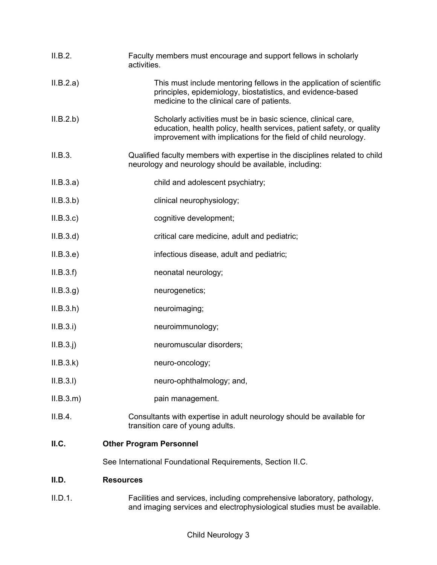| II.B.2.   | Faculty members must encourage and support fellows in scholarly<br>activities.                                                                                                                            |
|-----------|-----------------------------------------------------------------------------------------------------------------------------------------------------------------------------------------------------------|
| II.B.2.a) | This must include mentoring fellows in the application of scientific<br>principles, epidemiology, biostatistics, and evidence-based<br>medicine to the clinical care of patients.                         |
| II.B.2.b) | Scholarly activities must be in basic science, clinical care,<br>education, health policy, health services, patient safety, or quality<br>improvement with implications for the field of child neurology. |
| II.B.3.   | Qualified faculty members with expertise in the disciplines related to child<br>neurology and neurology should be available, including:                                                                   |
| II.B.3.a) | child and adolescent psychiatry;                                                                                                                                                                          |
| II.B.3.b) | clinical neurophysiology;                                                                                                                                                                                 |
| ILB.3.c)  | cognitive development;                                                                                                                                                                                    |
| II.B.3.d  | critical care medicine, adult and pediatric;                                                                                                                                                              |
| II.B.3.e) | infectious disease, adult and pediatric;                                                                                                                                                                  |
| II.B.3.f) | neonatal neurology;                                                                                                                                                                                       |
| ILB.3.g)  | neurogenetics;                                                                                                                                                                                            |
| ILB.3.h)  | neuroimaging;                                                                                                                                                                                             |
| II.B.3.i) | neuroimmunology;                                                                                                                                                                                          |
| II.B.3.j) | neuromuscular disorders;                                                                                                                                                                                  |
| ILB.3.k)  | neuro-oncology;                                                                                                                                                                                           |
| II.B.3.I) | neuro-ophthalmology; and,                                                                                                                                                                                 |
| ILB.3.m)  | pain management.                                                                                                                                                                                          |
| II.B.4.   | Consultants with expertise in adult neurology should be available for<br>transition care of young adults.                                                                                                 |
| ILC.      | <b>Other Program Personnel</b>                                                                                                                                                                            |
|           | See International Foundational Requirements, Section II.C.                                                                                                                                                |
| II.D.     | <b>Resources</b>                                                                                                                                                                                          |
| II.D.1.   | Facilities and services, including comprehensive laboratory, pathology,                                                                                                                                   |

and imaging services and electrophysiological studies must be available.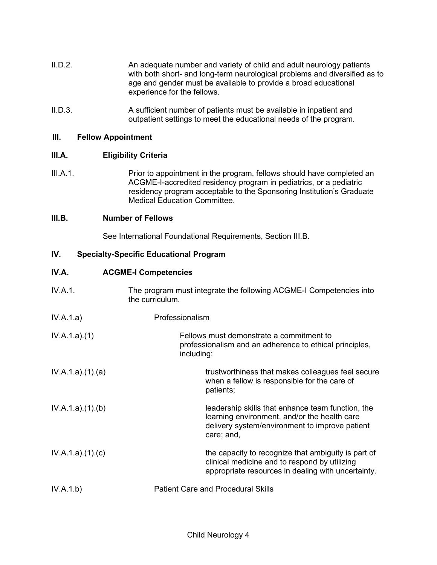- II.D.2. An adequate number and variety of child and adult neurology patients with both short- and long-term neurological problems and diversified as to age and gender must be available to provide a broad educational experience for the fellows.
- II.D.3. A sufficient number of patients must be available in inpatient and outpatient settings to meet the educational needs of the program.

### **III. Fellow Appointment**

## **III.A. Eligibility Criteria**

III.A.1. Prior to appointment in the program, fellows should have completed an ACGME-I-accredited residency program in pediatrics, or a pediatric residency program acceptable to the Sponsoring Institution's Graduate Medical Education Committee.

### **III.B. Number of Fellows**

See International Foundational Requirements, Section III.B.

### **IV. Specialty-Specific Educational Program**

# **IV.A. ACGME-I Competencies**

| IV.A.1.         | The program must integrate the following ACGME-I Competencies into<br>the curriculum.                                                                             |
|-----------------|-------------------------------------------------------------------------------------------------------------------------------------------------------------------|
| IV.A.1.a)       | Professionalism                                                                                                                                                   |
| IV.A.1.a)(1)    | Fellows must demonstrate a commitment to<br>professionalism and an adherence to ethical principles,<br>including:                                                 |
| IV.A.1.a)(1)(a) | trustworthiness that makes colleagues feel secure<br>when a fellow is responsible for the care of<br>patients;                                                    |
| IV.A.1.a)(1)(b) | leadership skills that enhance team function, the<br>learning environment, and/or the health care<br>delivery system/environment to improve patient<br>care; and, |
| IV.A.1.a)(1)(c) | the capacity to recognize that ambiguity is part of<br>clinical medicine and to respond by utilizing<br>appropriate resources in dealing with uncertainty.        |
| IV.A.1.b)       | <b>Patient Care and Procedural Skills</b>                                                                                                                         |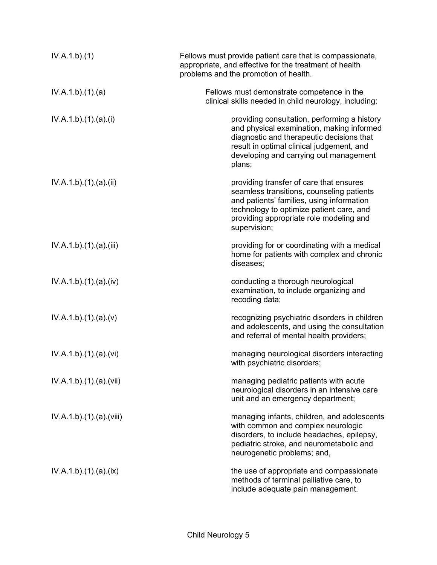| IV.A.1.b)(1)          | Fellows must provide patient care that is compassionate,<br>appropriate, and effective for the treatment of health<br>problems and the promotion of health.                                                                              |
|-----------------------|------------------------------------------------------------------------------------------------------------------------------------------------------------------------------------------------------------------------------------------|
| IV.A.1.b)(1)(a)       | Fellows must demonstrate competence in the<br>clinical skills needed in child neurology, including:                                                                                                                                      |
| IV.A.1.b)(1).(a)(i)   | providing consultation, performing a history<br>and physical examination, making informed<br>diagnostic and therapeutic decisions that<br>result in optimal clinical judgement, and<br>developing and carrying out management<br>plans;  |
| IV.A.1.b)(1)(a)(ii)   | providing transfer of care that ensures<br>seamless transitions, counseling patients<br>and patients' families, using information<br>technology to optimize patient care, and<br>providing appropriate role modeling and<br>supervision; |
| IV.A.1.b)(1)(a)(iii)  | providing for or coordinating with a medical<br>home for patients with complex and chronic<br>diseases;                                                                                                                                  |
| IV.A.1.b)(1)(a)(iv)   | conducting a thorough neurological<br>examination, to include organizing and<br>recoding data;                                                                                                                                           |
| IV.A.1.b)(1)(a)(v)    | recognizing psychiatric disorders in children<br>and adolescents, and using the consultation<br>and referral of mental health providers;                                                                                                 |
| IV.A.1.b)(1)(a)(vi)   | managing neurological disorders interacting<br>with psychiatric disorders;                                                                                                                                                               |
| IV.A.1.b)(1)(a)(vii)  | managing pediatric patients with acute<br>neurological disorders in an intensive care<br>unit and an emergency department;                                                                                                               |
| IV.A.1.b)(1)(a)(viii) | managing infants, children, and adolescents<br>with common and complex neurologic<br>disorders, to include headaches, epilepsy,<br>pediatric stroke, and neurometabolic and<br>neurogenetic problems; and,                               |
| IV.A.1.b)(1)(a)(ix)   | the use of appropriate and compassionate<br>methods of terminal palliative care, to<br>include adequate pain management.                                                                                                                 |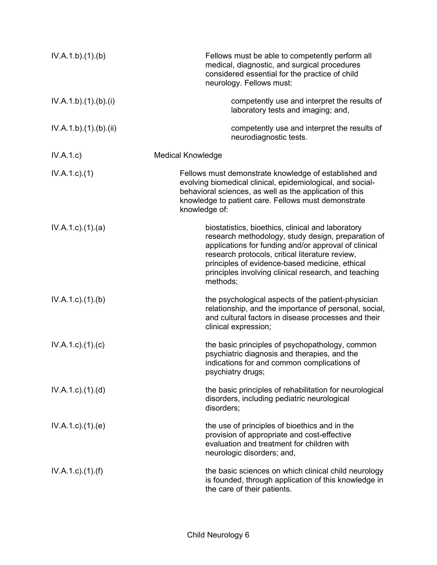| IV.A.1.b)(1)(b)           | Fellows must be able to competently perform all<br>medical, diagnostic, and surgical procedures<br>considered essential for the practice of child<br>neurology. Fellows must:                                                                                                                                                            |
|---------------------------|------------------------------------------------------------------------------------------------------------------------------------------------------------------------------------------------------------------------------------------------------------------------------------------------------------------------------------------|
| IV.A.1.b).(1).(b).(i)     | competently use and interpret the results of<br>laboratory tests and imaging; and,                                                                                                                                                                                                                                                       |
| IV.A.1.b)(1)(b)(ii)       | competently use and interpret the results of<br>neurodiagnostic tests.                                                                                                                                                                                                                                                                   |
| IV.A.1.c)                 | <b>Medical Knowledge</b>                                                                                                                                                                                                                                                                                                                 |
| $IV.A.1.c.$ (1)           | Fellows must demonstrate knowledge of established and<br>evolving biomedical clinical, epidemiological, and social-<br>behavioral sciences, as well as the application of this<br>knowledge to patient care. Fellows must demonstrate<br>knowledge of:                                                                                   |
| $IV.A.1.c$ . $(1).$ $(a)$ | biostatistics, bioethics, clinical and laboratory<br>research methodology, study design, preparation of<br>applications for funding and/or approval of clinical<br>research protocols, critical literature review,<br>principles of evidence-based medicine, ethical<br>principles involving clinical research, and teaching<br>methods; |
| $IV.A.1.c$ . $(1).$ (b)   | the psychological aspects of the patient-physician<br>relationship, and the importance of personal, social,<br>and cultural factors in disease processes and their<br>clinical expression;                                                                                                                                               |
| $IV.A.1.c$ ). $(1).$ (c)  | the basic principles of psychopathology, common<br>psychiatric diagnosis and therapies, and the<br>indications for and common complications of<br>psychiatry drugs;                                                                                                                                                                      |
| $IV.A.1.c$ . $(1).$ $(d)$ | the basic principles of rehabilitation for neurological<br>disorders, including pediatric neurological<br>disorders;                                                                                                                                                                                                                     |
| $IV.A.1.c$ . $(1).$ (e)   | the use of principles of bioethics and in the<br>provision of appropriate and cost-effective<br>evaluation and treatment for children with<br>neurologic disorders; and,                                                                                                                                                                 |
| $IV.A.1.c$ ). $(1).(f)$   | the basic sciences on which clinical child neurology<br>is founded, through application of this knowledge in<br>the care of their patients.                                                                                                                                                                                              |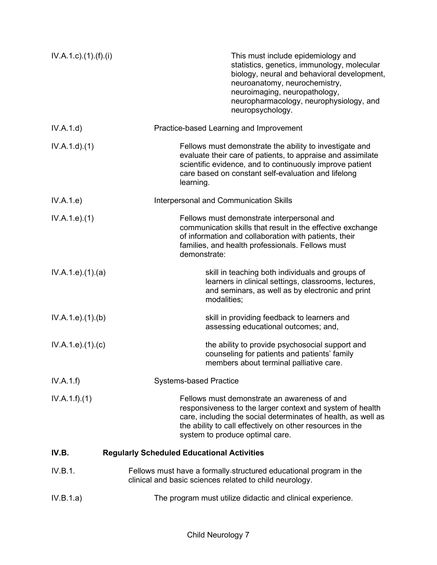| $IV.A.1.c$ . $(1).(f).(i)$ | This must include epidemiology and<br>statistics, genetics, immunology, molecular<br>biology, neural and behavioral development,<br>neuroanatomy, neurochemistry,<br>neuroimaging, neuropathology,<br>neuropharmacology, neurophysiology, and<br>neuropsychology.          |
|----------------------------|----------------------------------------------------------------------------------------------------------------------------------------------------------------------------------------------------------------------------------------------------------------------------|
| IV.A.1.d                   | Practice-based Learning and Improvement                                                                                                                                                                                                                                    |
| IV.A.1.d)(1)               | Fellows must demonstrate the ability to investigate and<br>evaluate their care of patients, to appraise and assimilate<br>scientific evidence, and to continuously improve patient<br>care based on constant self-evaluation and lifelong<br>learning.                     |
| IV.A.1.e)                  | Interpersonal and Communication Skills                                                                                                                                                                                                                                     |
| IV.A.1.e. (1)              | Fellows must demonstrate interpersonal and<br>communication skills that result in the effective exchange<br>of information and collaboration with patients, their<br>families, and health professionals. Fellows must<br>demonstrate:                                      |
| IV.A.1.e. (1). (a)         | skill in teaching both individuals and groups of<br>learners in clinical settings, classrooms, lectures,<br>and seminars, as well as by electronic and print<br>modalities;                                                                                                |
| IV.A.1.e. (1)(b)           | skill in providing feedback to learners and<br>assessing educational outcomes; and,                                                                                                                                                                                        |
| IV.A.1.e. (1). (c)         | the ability to provide psychosocial support and<br>counseling for patients and patients' family<br>members about terminal palliative care.                                                                                                                                 |
| IV.A.1.f)                  | <b>Systems-based Practice</b>                                                                                                                                                                                                                                              |
| IV.A.1.f)(1)               | Fellows must demonstrate an awareness of and<br>responsiveness to the larger context and system of health<br>care, including the social determinates of health, as well as<br>the ability to call effectively on other resources in the<br>system to produce optimal care. |
| IV.B.                      | <b>Regularly Scheduled Educational Activities</b>                                                                                                                                                                                                                          |
| IV.B.1.                    | Fellows must have a formally-structured educational program in the<br>clinical and basic sciences related to child neurology.                                                                                                                                              |
| IV.B.1.a)                  | The program must utilize didactic and clinical experience.                                                                                                                                                                                                                 |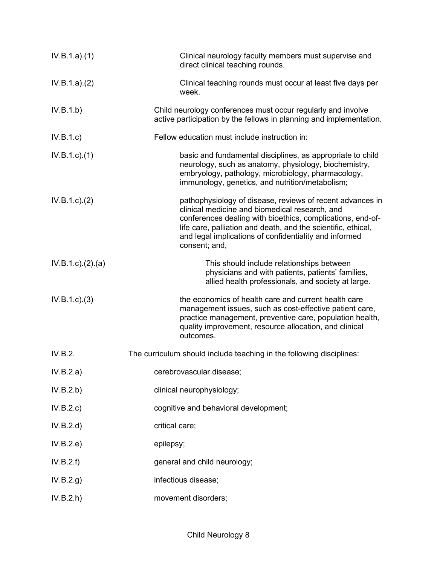| IV.B.1.a)(1)     | Clinical neurology faculty members must supervise and<br>direct clinical teaching rounds.                                                                                                                                                                                                                             |
|------------------|-----------------------------------------------------------------------------------------------------------------------------------------------------------------------------------------------------------------------------------------------------------------------------------------------------------------------|
| IV.B.1.a)(2)     | Clinical teaching rounds must occur at least five days per<br>week.                                                                                                                                                                                                                                                   |
| IV.B.1.b)        | Child neurology conferences must occur regularly and involve<br>active participation by the fellows in planning and implementation.                                                                                                                                                                                   |
| IV.B.1.c)        | Fellow education must include instruction in:                                                                                                                                                                                                                                                                         |
| $IV.B.1.c.$ (1)  | basic and fundamental disciplines, as appropriate to child<br>neurology, such as anatomy, physiology, biochemistry,<br>embryology, pathology, microbiology, pharmacology,<br>immunology, genetics, and nutrition/metabolism;                                                                                          |
| IV.B.1.c.2)      | pathophysiology of disease, reviews of recent advances in<br>clinical medicine and biomedical research, and<br>conferences dealing with bioethics, complications, end-of-<br>life care, palliation and death, and the scientific, ethical,<br>and legal implications of confidentiality and informed<br>consent; and, |
| IV.B.1.c)(2).(a) | This should include relationships between<br>physicians and with patients, patients' families,<br>allied health professionals, and society at large.                                                                                                                                                                  |
| IV.B.1.c.3)      | the economics of health care and current health care<br>management issues, such as cost-effective patient care,<br>practice management, preventive care, population health,<br>quality improvement, resource allocation, and clinical<br>outcomes.                                                                    |
| IV.B.2.          | The curriculum should include teaching in the following disciplines:                                                                                                                                                                                                                                                  |
| IV.B.2.a)        | cerebrovascular disease;                                                                                                                                                                                                                                                                                              |
| IV.B.2.b)        | clinical neurophysiology;                                                                                                                                                                                                                                                                                             |
| IV.B.2.c)        | cognitive and behavioral development;                                                                                                                                                                                                                                                                                 |
| IV.B.2.d)        | critical care;                                                                                                                                                                                                                                                                                                        |
| IV.B.2.e)        | epilepsy;                                                                                                                                                                                                                                                                                                             |
| IV.B.2.f)        | general and child neurology;                                                                                                                                                                                                                                                                                          |
| IV.B.2.g)        | infectious disease;                                                                                                                                                                                                                                                                                                   |
| IV.B.2.h)        | movement disorders;                                                                                                                                                                                                                                                                                                   |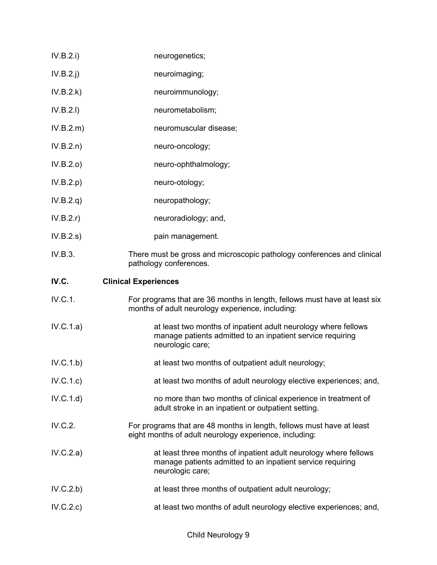- IV.B.2.i) neurogenetics;
- IV.B.2.j) neuroimaging;
- IV.B.2.k) neuroimmunology;
- IV.B.2.I) neurometabolism;
- IV.B.2.m) neuromuscular disease;
- IV.B.2.n) neuro-oncology;
- IV.B.2.o) neuro-ophthalmology;
- IV.B.2.p) neuro-otology;
- IV.B.2.q) neuropathology;
- IV.B.2.r) neuroradiology; and,
- IV.B.2.s) pain management.
- IV.B.3. There must be gross and microscopic pathology conferences and clinical pathology conferences.

# **IV.C. Clinical Experiences**

- IV.C.1. For programs that are 36 months in length, fellows must have at least six months of adult neurology experience, including:
- IV.C.1.a) at least two months of inpatient adult neurology where fellows manage patients admitted to an inpatient service requiring neurologic care;
- IV.C.1.b) at least two months of outpatient adult neurology;
- IV.C.1.c) at least two months of adult neurology elective experiences; and,
- IV.C.1.d) no more than two months of clinical experience in treatment of adult stroke in an inpatient or outpatient setting.
- IV.C.2. For programs that are 48 months in length, fellows must have at least eight months of adult neurology experience, including:
- IV.C.2.a) **at least three months of inpatient adult neurology where fellows** manage patients admitted to an inpatient service requiring neurologic care;
- IV.C.2.b) at least three months of outpatient adult neurology;
- IV.C.2.c) at least two months of adult neurology elective experiences; and,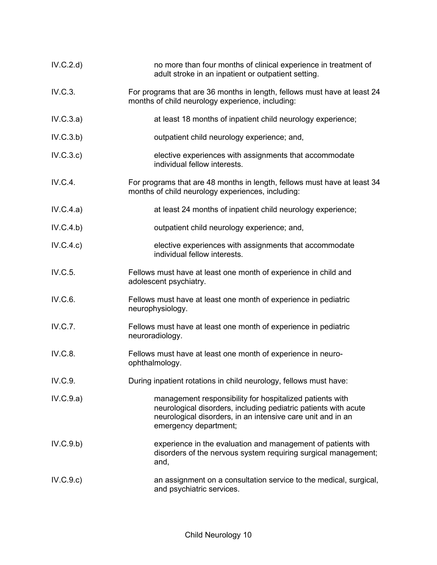| IV.C.2.d  | no more than four months of clinical experience in treatment of<br>adult stroke in an inpatient or outpatient setting.                                                                                              |
|-----------|---------------------------------------------------------------------------------------------------------------------------------------------------------------------------------------------------------------------|
| IV.C.3.   | For programs that are 36 months in length, fellows must have at least 24<br>months of child neurology experience, including:                                                                                        |
| IV.C.3.a) | at least 18 months of inpatient child neurology experience;                                                                                                                                                         |
| IV.C.3.b) | outpatient child neurology experience; and,                                                                                                                                                                         |
| IV.C.3.c) | elective experiences with assignments that accommodate<br>individual fellow interests.                                                                                                                              |
| IV.C.4.   | For programs that are 48 months in length, fellows must have at least 34<br>months of child neurology experiences, including:                                                                                       |
| IV.C.4.a) | at least 24 months of inpatient child neurology experience;                                                                                                                                                         |
| IV.C.4.b) | outpatient child neurology experience; and,                                                                                                                                                                         |
| IV.C.4.c) | elective experiences with assignments that accommodate<br>individual fellow interests.                                                                                                                              |
| IV.C.5.   | Fellows must have at least one month of experience in child and<br>adolescent psychiatry.                                                                                                                           |
| IV.C.6.   | Fellows must have at least one month of experience in pediatric<br>neurophysiology.                                                                                                                                 |
| IV.C.7.   | Fellows must have at least one month of experience in pediatric<br>neuroradiology.                                                                                                                                  |
| IV.C.8.   | Fellows must have at least one month of experience in neuro-<br>ophthalmology.                                                                                                                                      |
| IV.C.9.   | During inpatient rotations in child neurology, fellows must have:                                                                                                                                                   |
| IV.C.9.a) | management responsibility for hospitalized patients with<br>neurological disorders, including pediatric patients with acute<br>neurological disorders, in an intensive care unit and in an<br>emergency department; |
| IV.C.9.b) | experience in the evaluation and management of patients with<br>disorders of the nervous system requiring surgical management;<br>and,                                                                              |
| IV.C.9.c) | an assignment on a consultation service to the medical, surgical,<br>and psychiatric services.                                                                                                                      |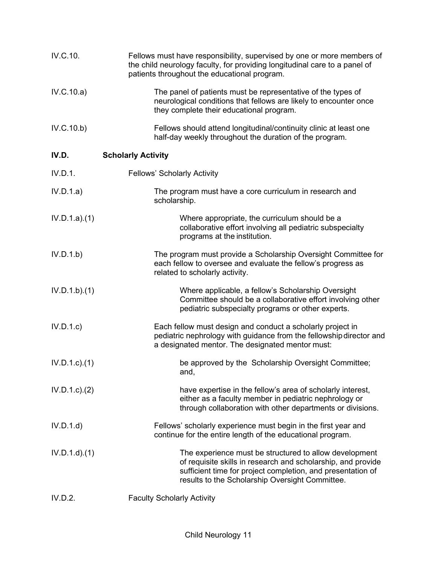| IV.C.10.         | Fellows must have responsibility, supervised by one or more members of<br>the child neurology faculty, for providing longitudinal care to a panel of<br>patients throughout the educational program.                                     |
|------------------|------------------------------------------------------------------------------------------------------------------------------------------------------------------------------------------------------------------------------------------|
| IV.C.10.a)       | The panel of patients must be representative of the types of<br>neurological conditions that fellows are likely to encounter once<br>they complete their educational program.                                                            |
| IV.C.10.b)       | Fellows should attend longitudinal/continuity clinic at least one<br>half-day weekly throughout the duration of the program.                                                                                                             |
| IV.D.            | <b>Scholarly Activity</b>                                                                                                                                                                                                                |
| IV.D.1.          | <b>Fellows' Scholarly Activity</b>                                                                                                                                                                                                       |
| IV.D.1.a)        | The program must have a core curriculum in research and<br>scholarship.                                                                                                                                                                  |
| IV.D.1.a)(1)     | Where appropriate, the curriculum should be a<br>collaborative effort involving all pediatric subspecialty<br>programs at the institution.                                                                                               |
| IV.D.1.b)        | The program must provide a Scholarship Oversight Committee for<br>each fellow to oversee and evaluate the fellow's progress as<br>related to scholarly activity.                                                                         |
| IV.D.1.b)(1)     | Where applicable, a fellow's Scholarship Oversight<br>Committee should be a collaborative effort involving other<br>pediatric subspecialty programs or other experts.                                                                    |
| IV.D.1.c         | Each fellow must design and conduct a scholarly project in<br>pediatric nephrology with guidance from the fellowship director and<br>a designated mentor. The designated mentor must:                                                    |
| $IV.D.1.c$ $(1)$ | be approved by the Scholarship Oversight Committee;<br>and,                                                                                                                                                                              |
| $IV.D.1.c$ $(2)$ | have expertise in the fellow's area of scholarly interest,<br>either as a faculty member in pediatric nephrology or<br>through collaboration with other departments or divisions.                                                        |
| IV.D.1.d         | Fellows' scholarly experience must begin in the first year and<br>continue for the entire length of the educational program.                                                                                                             |
| $IV.D.1.d$ $(1)$ | The experience must be structured to allow development<br>of requisite skills in research and scholarship, and provide<br>sufficient time for project completion, and presentation of<br>results to the Scholarship Oversight Committee. |
| IV.D.2.          | <b>Faculty Scholarly Activity</b>                                                                                                                                                                                                        |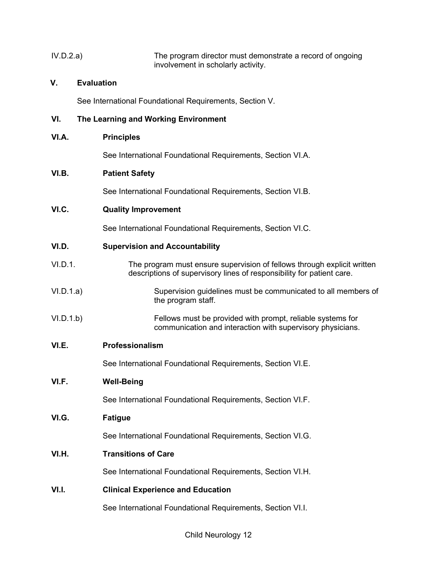| IV.D.2.a) | The program director must demonstrate a record of ongoing |
|-----------|-----------------------------------------------------------|
|           | involvement in scholarly activity.                        |

# **V. Evaluation**

See International Foundational Requirements, Section V.

# **VI. The Learning and Working Environment**

### **VI.A. Principles**

See International Foundational Requirements, Section VI.A.

## **VI.B. Patient Safety**

See International Foundational Requirements, Section VI.B.

## **VI.C. Quality Improvement**

See International Foundational Requirements, Section VI.C.

### **VI.D. Supervision and Accountability**

- VI.D.1. The program must ensure supervision of fellows through explicit written descriptions of supervisory lines of responsibility for patient care.
- VI.D.1.a) Supervision guidelines must be communicated to all members of the program staff.
- VI.D.1.b) Fellows must be provided with prompt, reliable systems for communication and interaction with supervisory physicians.

## **VI.E. Professionalism**

See International Foundational Requirements, Section VI.E.

# **VI.F. Well-Being**

See International Foundational Requirements, Section VI.F.

### **VI.G. Fatigue**

See International Foundational Requirements, Section VI.G.

## **VI.H. Transitions of Care**

See International Foundational Requirements, Section VI.H.

## **VI.I. Clinical Experience and Education**

See International Foundational Requirements, Section VI.I.